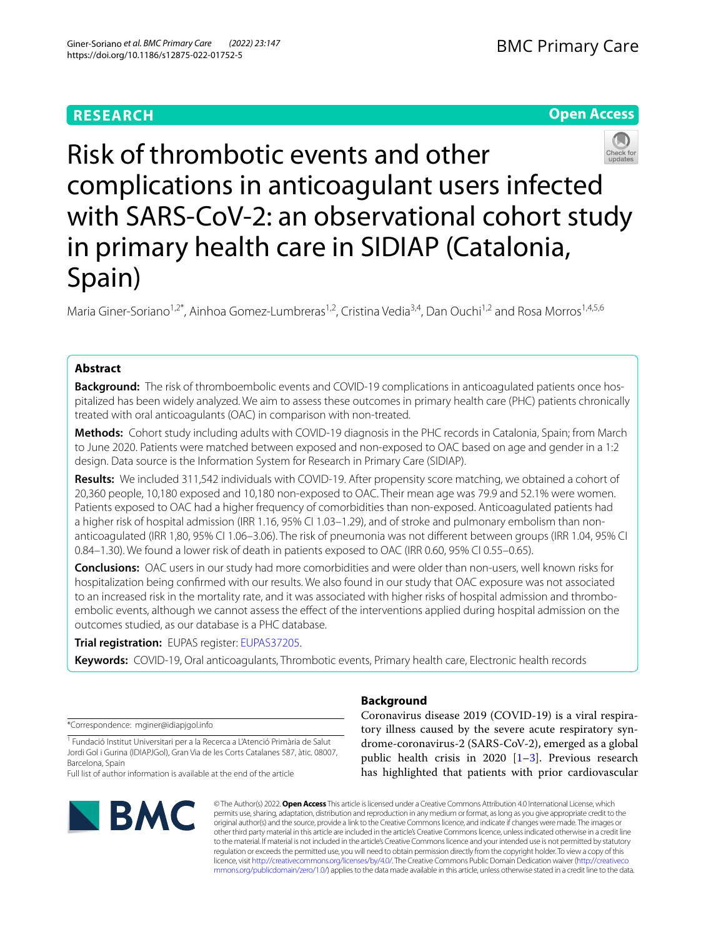# **RESEARCH**

# **Open Access**



Risk of thrombotic events and other complications in anticoagulant users infected with SARS-CoV-2: an observational cohort study in primary health care in SIDIAP (Catalonia, Spain)

Maria Giner-Soriano<sup>1,2\*</sup>, Ainhoa Gomez-Lumbreras<sup>1,2</sup>, Cristina Vedia<sup>3,4</sup>, Dan Ouchi<sup>1,2</sup> and Rosa Morros<sup>1,4,5,6</sup>

# **Abstract**

**Background:** The risk of thromboembolic events and COVID-19 complications in anticoagulated patients once hospitalized has been widely analyzed. We aim to assess these outcomes in primary health care (PHC) patients chronically treated with oral anticoagulants (OAC) in comparison with non-treated.

**Methods:** Cohort study including adults with COVID-19 diagnosis in the PHC records in Catalonia, Spain; from March to June 2020. Patients were matched between exposed and non-exposed to OAC based on age and gender in a 1:2 design. Data source is the Information System for Research in Primary Care (SIDIAP).

**Results:** We included 311,542 individuals with COVID-19. After propensity score matching, we obtained a cohort of 20,360 people, 10,180 exposed and 10,180 non-exposed to OAC. Their mean age was 79.9 and 52.1% were women. Patients exposed to OAC had a higher frequency of comorbidities than non-exposed. Anticoagulated patients had a higher risk of hospital admission (IRR 1.16, 95% CI 1.03–1.29), and of stroke and pulmonary embolism than nonanticoagulated (IRR 1,80, 95% CI 1.06–3.06). The risk of pneumonia was not diferent between groups (IRR 1.04, 95% CI 0.84–1.30). We found a lower risk of death in patients exposed to OAC (IRR 0.60, 95% CI 0.55–0.65).

**Conclusions:** OAC users in our study had more comorbidities and were older than non-users, well known risks for hospitalization being confrmed with our results. We also found in our study that OAC exposure was not associated to an increased risk in the mortality rate, and it was associated with higher risks of hospital admission and thromboembolic events, although we cannot assess the efect of the interventions applied during hospital admission on the outcomes studied, as our database is a PHC database.

**Trial registration:** EUPAS register: [EUPAS37205.](https://www.encepp.eu/encepp/viewResource.htm?id=39853)

**Keywords:** COVID-19, Oral anticoagulants, Thrombotic events, Primary health care, Electronic health records

\*Correspondence: mginer@idiapjgol.info

<sup>1</sup> Fundació Institut Universitari per a la Recerca a L'Atenció Primària de Salut Jordi Gol i Gurina (IDIAPJGol), Gran Via de les Corts Catalanes 587, àtic. 08007, Barcelona, Spain

Full list of author information is available at the end of the article



# **Background**

Coronavirus disease 2019 (COVID-19) is a viral respiratory illness caused by the severe acute respiratory syndrome-coronavirus-2 (SARS-CoV-2), emerged as a global public health crisis in 2020  $[1-3]$  $[1-3]$ . Previous research has highlighted that patients with prior cardiovascular

© The Author(s) 2022. **Open Access** This article is licensed under a Creative Commons Attribution 4.0 International License, which permits use, sharing, adaptation, distribution and reproduction in any medium or format, as long as you give appropriate credit to the original author(s) and the source, provide a link to the Creative Commons licence, and indicate if changes were made. The images or other third party material in this article are included in the article's Creative Commons licence, unless indicated otherwise in a credit line to the material. If material is not included in the article's Creative Commons licence and your intended use is not permitted by statutory regulation or exceeds the permitted use, you will need to obtain permission directly from the copyright holder. To view a copy of this licence, visit [http://creativecommons.org/licenses/by/4.0/.](http://creativecommons.org/licenses/by/4.0/) The Creative Commons Public Domain Dedication waiver ([http://creativeco](http://creativecommons.org/publicdomain/zero/1.0/) [mmons.org/publicdomain/zero/1.0/](http://creativecommons.org/publicdomain/zero/1.0/)) applies to the data made available in this article, unless otherwise stated in a credit line to the data.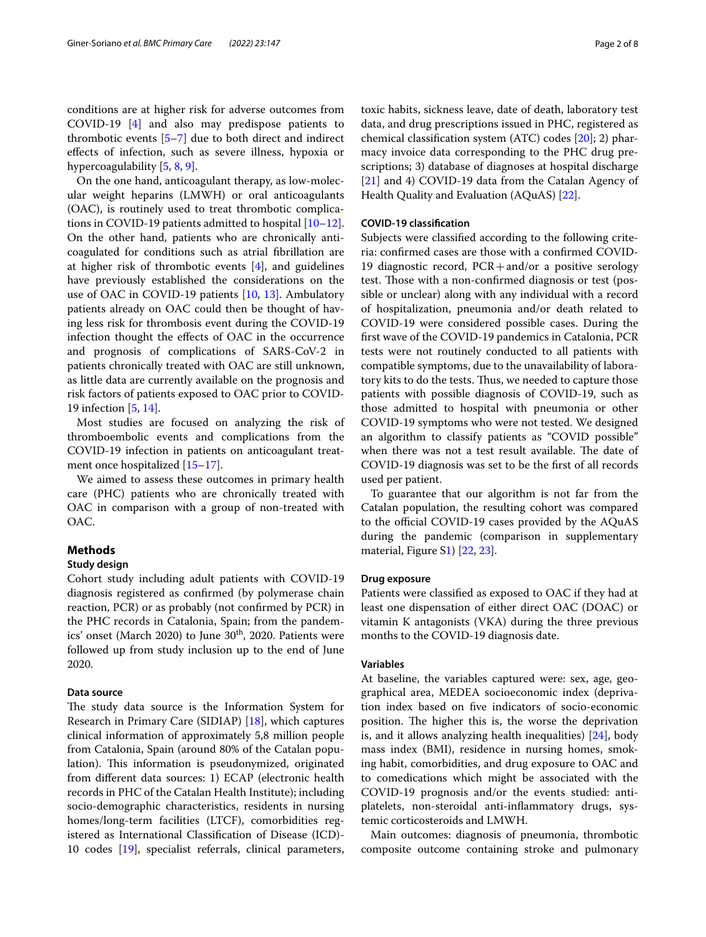On the one hand, anticoagulant therapy, as low-molecular weight heparins (LMWH) or oral anticoagulants (OAC), is routinely used to treat thrombotic complications in COVID-19 patients admitted to hospital [[10](#page-7-6)[–12](#page-7-7)]. On the other hand, patients who are chronically anticoagulated for conditions such as atrial fbrillation are at higher risk of thrombotic events [\[4](#page-7-1)], and guidelines have previously established the considerations on the use of OAC in COVID-19 patients [\[10](#page-7-6), [13](#page-7-8)]. Ambulatory patients already on OAC could then be thought of having less risk for thrombosis event during the COVID-19 infection thought the efects of OAC in the occurrence and prognosis of complications of SARS-CoV-2 in patients chronically treated with OAC are still unknown, as little data are currently available on the prognosis and risk factors of patients exposed to OAC prior to COVID-19 infection [[5,](#page-7-2) [14](#page-7-9)].

Most studies are focused on analyzing the risk of thromboembolic events and complications from the COVID-19 infection in patients on anticoagulant treat-ment once hospitalized [\[15–](#page-7-10)[17\]](#page-7-11).

We aimed to assess these outcomes in primary health care (PHC) patients who are chronically treated with OAC in comparison with a group of non-treated with OAC.

# **Methods**

# **Study design**

Cohort study including adult patients with COVID-19 diagnosis registered as confrmed (by polymerase chain reaction, PCR) or as probably (not confrmed by PCR) in the PHC records in Catalonia, Spain; from the pandemics' onset (March 2020) to June  $30<sup>th</sup>$ , 2020. Patients were followed up from study inclusion up to the end of June 2020.

# **Data source**

The study data source is the Information System for Research in Primary Care (SIDIAP) [\[18\]](#page-7-12), which captures clinical information of approximately 5,8 million people from Catalonia, Spain (around 80% of the Catalan population). This information is pseudonymized, originated from diferent data sources: 1) ECAP (electronic health records in PHC of the Catalan Health Institute); including socio-demographic characteristics, residents in nursing homes/long-term facilities (LTCF), comorbidities registered as International Classifcation of Disease (ICD)- 10 codes [\[19](#page-7-13)], specialist referrals, clinical parameters, toxic habits, sickness leave, date of death, laboratory test data, and drug prescriptions issued in PHC, registered as chemical classifcation system (ATC) codes [[20\]](#page-7-14); 2) pharmacy invoice data corresponding to the PHC drug prescriptions; 3) database of diagnoses at hospital discharge [[21\]](#page-7-15) and 4) COVID-19 data from the Catalan Agency of Health Quality and Evaluation (AQuAS) [[22](#page-7-16)].

## **COVID‑19 classifcation**

Subjects were classifed according to the following criteria: confrmed cases are those with a confrmed COVID-19 diagnostic record, PCR+and/or a positive serology test. Those with a non-confirmed diagnosis or test (possible or unclear) along with any individual with a record of hospitalization, pneumonia and/or death related to COVID-19 were considered possible cases. During the frst wave of the COVID-19 pandemics in Catalonia, PCR tests were not routinely conducted to all patients with compatible symptoms, due to the unavailability of laboratory kits to do the tests. Thus, we needed to capture those patients with possible diagnosis of COVID-19, such as those admitted to hospital with pneumonia or other COVID-19 symptoms who were not tested. We designed an algorithm to classify patients as "COVID possible" when there was not a test result available. The date of COVID-19 diagnosis was set to be the frst of all records used per patient.

To guarantee that our algorithm is not far from the Catalan population, the resulting cohort was compared to the official COVID-19 cases provided by the AQuAS during the pandemic (comparison in supplementary material, Figure [S1](#page-6-1)) [[22,](#page-7-16) [23](#page-7-17)].

### **Drug exposure**

Patients were classifed as exposed to OAC if they had at least one dispensation of either direct OAC (DOAC) or vitamin K antagonists (VKA) during the three previous months to the COVID-19 diagnosis date.

# **Variables**

At baseline, the variables captured were: sex, age, geographical area, MEDEA socioeconomic index (deprivation index based on fve indicators of socio-economic position. The higher this is, the worse the deprivation is, and it allows analyzing health inequalities) [[24\]](#page-7-18), body mass index (BMI), residence in nursing homes, smoking habit, comorbidities, and drug exposure to OAC and to comedications which might be associated with the COVID-19 prognosis and/or the events studied: antiplatelets, non-steroidal anti-infammatory drugs, systemic corticosteroids and LMWH.

Main outcomes: diagnosis of pneumonia, thrombotic composite outcome containing stroke and pulmonary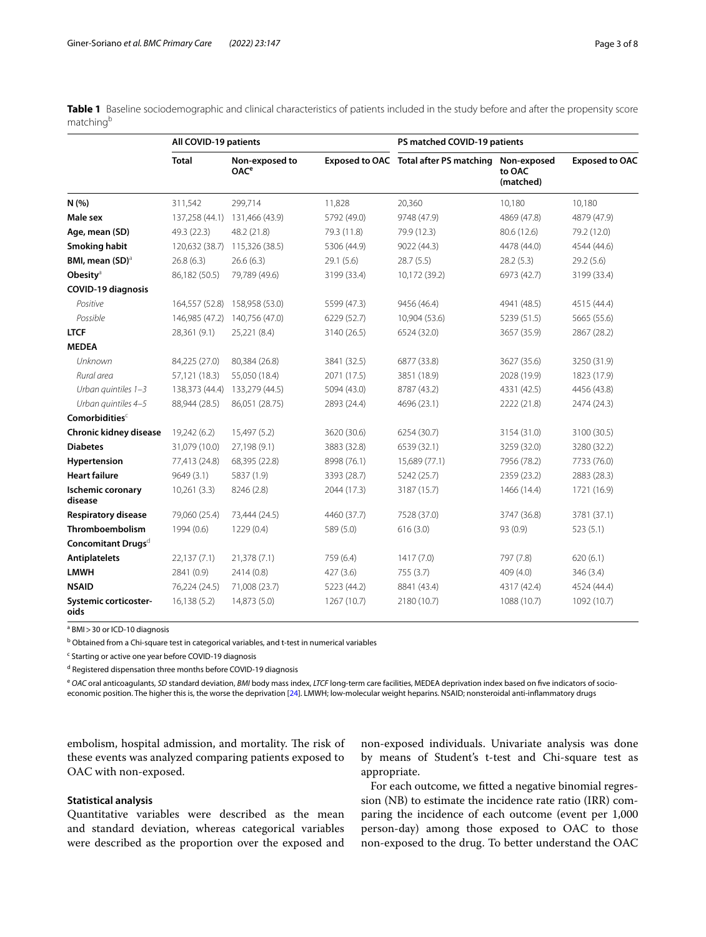<span id="page-2-0"></span>**Table 1** Baseline sociodemographic and clinical characteristics of patients included in the study before and after the propensity score matching<sup>b</sup>

|                                      | All COVID-19 patients |                                          |             | PS matched COVID-19 patients           |                                    |                       |
|--------------------------------------|-----------------------|------------------------------------------|-------------|----------------------------------------|------------------------------------|-----------------------|
|                                      | <b>Total</b>          | Non-exposed to<br><b>OAC<sup>e</sup></b> |             | Exposed to OAC Total after PS matching | Non-exposed<br>to OAC<br>(matched) | <b>Exposed to OAC</b> |
| N(% )                                | 311,542               | 299,714                                  | 11,828      | 20,360                                 | 10,180                             | 10,180                |
| Male sex                             |                       | 137,258 (44.1) 131,466 (43.9)            | 5792 (49.0) | 9748 (47.9)                            | 4869 (47.8)                        | 4879 (47.9)           |
| Age, mean (SD)                       | 49.3 (22.3)           | 48.2 (21.8)                              | 79.3 (11.8) | 79.9 (12.3)                            | 80.6 (12.6)                        | 79.2 (12.0)           |
| Smoking habit                        | 120,632 (38.7)        | 115,326 (38.5)                           | 5306 (44.9) | 9022 (44.3)                            | 4478 (44.0)                        | 4544 (44.6)           |
| BMI, mean (SD) <sup>a</sup>          | 26.8 (6.3)            | 26.6(6.3)                                | 29.1 (5.6)  | 28.7 (5.5)                             | 28.2(5.3)                          | 29.2 (5.6)            |
| Obesity <sup>a</sup>                 | 86,182 (50.5)         | 79,789 (49.6)                            | 3199 (33.4) | 10,172 (39.2)                          | 6973 (42.7)                        | 3199 (33.4)           |
| <b>COVID-19 diagnosis</b>            |                       |                                          |             |                                        |                                    |                       |
| Positive                             | 164,557 (52.8)        | 158,958 (53.0)                           | 5599 (47.3) | 9456 (46.4)                            | 4941 (48.5)                        | 4515 (44.4)           |
| Possible                             | 146,985 (47.2)        | 140,756 (47.0)                           | 6229 (52.7) | 10,904 (53.6)                          | 5239 (51.5)                        | 5665 (55.6)           |
| <b>LTCF</b>                          | 28,361 (9.1)          | 25,221 (8.4)                             | 3140 (26.5) | 6524 (32.0)                            | 3657 (35.9)                        | 2867 (28.2)           |
| <b>MEDEA</b>                         |                       |                                          |             |                                        |                                    |                       |
| Unknown                              | 84,225 (27.0)         | 80,384 (26.8)                            | 3841 (32.5) | 6877 (33.8)                            | 3627 (35.6)                        | 3250 (31.9)           |
| Rural area                           | 57,121 (18.3)         | 55,050 (18.4)                            | 2071 (17.5) | 3851 (18.9)                            | 2028 (19.9)                        | 1823 (17.9)           |
| Urban quintiles 1-3                  | 138,373 (44.4)        | 133,279 (44.5)                           | 5094 (43.0) | 8787 (43.2)                            | 4331 (42.5)                        | 4456 (43.8)           |
| Urban quintiles 4-5                  | 88,944 (28.5)         | 86,051 (28.75)                           | 2893 (24.4) | 4696 (23.1)                            | 2222 (21.8)                        | 2474 (24.3)           |
| Comorbidities <sup>c</sup>           |                       |                                          |             |                                        |                                    |                       |
| Chronic kidney disease               | 19,242 (6.2)          | 15,497 (5.2)                             | 3620 (30.6) | 6254 (30.7)                            | 3154 (31.0)                        | 3100 (30.5)           |
| <b>Diabetes</b>                      | 31,079 (10.0)         | 27,198 (9.1)                             | 3883 (32.8) | 6539 (32.1)                            | 3259 (32.0)                        | 3280 (32.2)           |
| Hypertension                         | 77,413 (24.8)         | 68,395 (22.8)                            | 8998 (76.1) | 15,689 (77.1)                          | 7956 (78.2)                        | 7733 (76.0)           |
| <b>Heart failure</b>                 | 9649 (3.1)            | 5837 (1.9)                               | 3393 (28.7) | 5242 (25.7)                            | 2359 (23.2)                        | 2883 (28.3)           |
| <b>Ischemic coronary</b><br>disease  | 10,261(3.3)           | 8246 (2.8)                               | 2044 (17.3) | 3187 (15.7)                            | 1466 (14.4)                        | 1721 (16.9)           |
| <b>Respiratory disease</b>           | 79,060 (25.4)         | 73,444 (24.5)                            | 4460 (37.7) | 7528 (37.0)                            | 3747 (36.8)                        | 3781 (37.1)           |
| Thromboembolism                      | 1994 (0.6)            | 1229 (0.4)                               | 589 (5.0)   | 616(3.0)                               | 93 (0.9)                           | 523(5.1)              |
| Concomitant Drugs <sup>d</sup>       |                       |                                          |             |                                        |                                    |                       |
| <b>Antiplatelets</b>                 | 22,137(7.1)           | 21,378(7.1)                              | 759 (6.4)   | 1417(7.0)                              | 797 (7.8)                          | 620(6.1)              |
| <b>LMWH</b>                          | 2841 (0.9)            | 2414 (0.8)                               | 427(3.6)    | 755 (3.7)                              | 409 (4.0)                          | 346 (3.4)             |
| <b>NSAID</b>                         | 76,224 (24.5)         | 71,008 (23.7)                            | 5223 (44.2) | 8841 (43.4)                            | 4317 (42.4)                        | 4524 (44.4)           |
| <b>Systemic corticoster-</b><br>oids | 16, 138(5.2)          | 14,873 (5.0)                             | 1267 (10.7) | 2180 (10.7)                            | 1088 (10.7)                        | 1092 (10.7)           |

<sup>a</sup> BMI > 30 or ICD-10 diagnosis

<sup>b</sup> Obtained from a Chi-square test in categorical variables, and t-test in numerical variables

<sup>c</sup> Starting or active one year before COVID-19 diagnosis

<sup>d</sup> Registered dispensation three months before COVID-19 diagnosis

<sup>e</sup> *OAC* oral anticoagulants, *SD* standard deviation, *BMI* body mass index, *LTCF* long-term care facilities, MEDEA deprivation index based on fve indicators of socioeconomic position. The higher this is, the worse the deprivation [\[24\]](#page-7-18). LMWH; low-molecular weight heparins. NSAID; nonsteroidal anti-infammatory drugs

embolism, hospital admission, and mortality. The risk of these events was analyzed comparing patients exposed to OAC with non-exposed.

# **Statistical analysis**

Quantitative variables were described as the mean and standard deviation, whereas categorical variables were described as the proportion over the exposed and

non-exposed individuals. Univariate analysis was done by means of Student's t-test and Chi-square test as appropriate.

For each outcome, we ftted a negative binomial regression (NB) to estimate the incidence rate ratio (IRR) comparing the incidence of each outcome (event per 1,000 person-day) among those exposed to OAC to those non-exposed to the drug. To better understand the OAC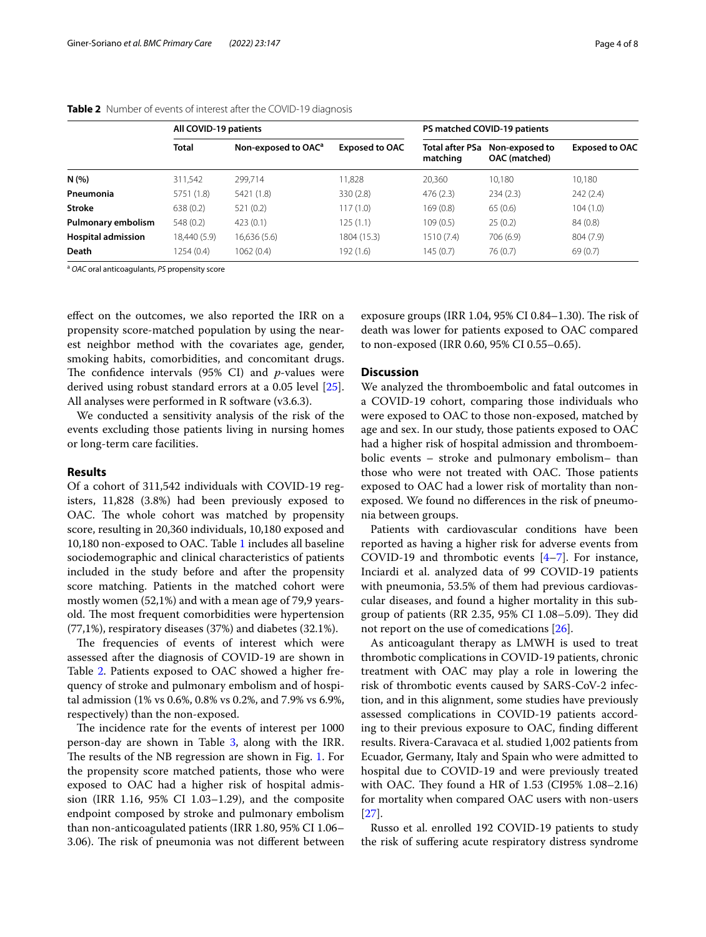|                           | All COVID-19 patients |                                 |                       |                             | PS matched COVID-19 patients    |                       |
|---------------------------|-----------------------|---------------------------------|-----------------------|-----------------------------|---------------------------------|-----------------------|
|                           | <b>Total</b>          | Non-exposed to OAC <sup>a</sup> | <b>Exposed to OAC</b> | Total after PSa<br>matching | Non-exposed to<br>OAC (matched) | <b>Exposed to OAC</b> |
| N(%)                      | 311,542               | 299,714                         | 11,828                | 20,360                      | 10.180                          | 10,180                |
| Pneumonia                 | 5751 (1.8)            | 5421 (1.8)                      | 330(2.8)              | 476(2.3)                    | 234(2.3)                        | 242(2.4)              |
| Stroke                    | 638(0.2)              | 521(0.2)                        | 117(1.0)              | 169(0.8)                    | 65(0.6)                         | 104(1.0)              |
| Pulmonary embolism        | 548 (0.2)             | 423(0.1)                        | 125 (1.1)             | 109(0.5)                    | 25(0.2)                         | 84 (0.8)              |
| <b>Hospital admission</b> | 18,440 (5.9)          | 16,636(5.6)                     | 1804 (15.3)           | 1510 (7.4)                  | 706 (6.9)                       | 804 (7.9)             |
| Death                     | 1254 (0.4)            | 1062(0.4)                       | 192 (1.6)             | 145 (0.7)                   | 76(0.7)                         | 69(0.7)               |

<span id="page-3-0"></span>**Table 2** Number of events of interest after the COVID-19 diagnosis

<sup>a</sup> *OAC* oral anticoagulants, *PS* propensity score

efect on the outcomes, we also reported the IRR on a propensity score-matched population by using the nearest neighbor method with the covariates age, gender, smoking habits, comorbidities, and concomitant drugs. The confidence intervals  $(95\% \text{ CI})$  and *p*-values were derived using robust standard errors at a 0.05 level [\[25](#page-7-19)]. All analyses were performed in R software (v3.6.3).

We conducted a sensitivity analysis of the risk of the events excluding those patients living in nursing homes or long-term care facilities.

## **Results**

Of a cohort of 311,542 individuals with COVID-19 registers, 11,828 (3.8%) had been previously exposed to OAC. The whole cohort was matched by propensity score, resulting in 20,360 individuals, 10,180 exposed and 10,180 non-exposed to OAC. Table [1](#page-2-0) includes all baseline sociodemographic and clinical characteristics of patients included in the study before and after the propensity score matching. Patients in the matched cohort were mostly women (52,1%) and with a mean age of 79,9 yearsold. The most frequent comorbidities were hypertension (77,1%), respiratory diseases (37%) and diabetes (32.1%).

The frequencies of events of interest which were assessed after the diagnosis of COVID-19 are shown in Table [2](#page-3-0). Patients exposed to OAC showed a higher frequency of stroke and pulmonary embolism and of hospital admission (1% vs 0.6%, 0.8% vs 0.2%, and 7.9% vs 6.9%, respectively) than the non-exposed.

The incidence rate for the events of interest per 1000 person-day are shown in Table [3,](#page-4-0) along with the IRR. The results of the NB regression are shown in Fig. [1.](#page-5-0) For the propensity score matched patients, those who were exposed to OAC had a higher risk of hospital admission (IRR 1.16, 95% CI 1.03–1.29), and the composite endpoint composed by stroke and pulmonary embolism than non-anticoagulated patients (IRR 1.80, 95% CI 1.06– 3.06). The risk of pneumonia was not different between exposure groups (IRR 1.04, 95% CI 0.84-1.30). The risk of death was lower for patients exposed to OAC compared to non-exposed (IRR 0.60, 95% CI 0.55–0.65).

# **Discussion**

We analyzed the thromboembolic and fatal outcomes in a COVID-19 cohort, comparing those individuals who were exposed to OAC to those non-exposed, matched by age and sex. In our study, those patients exposed to OAC had a higher risk of hospital admission and thromboembolic events – stroke and pulmonary embolism– than those who were not treated with OAC. Those patients exposed to OAC had a lower risk of mortality than nonexposed. We found no diferences in the risk of pneumonia between groups.

Patients with cardiovascular conditions have been reported as having a higher risk for adverse events from COVID-19 and thrombotic events [[4–](#page-7-1)[7](#page-7-3)]. For instance, Inciardi et al. analyzed data of 99 COVID-19 patients with pneumonia, 53.5% of them had previous cardiovascular diseases, and found a higher mortality in this subgroup of patients (RR 2.35, 95% CI 1.08–5.09). They did not report on the use of comedications [[26](#page-7-20)].

As anticoagulant therapy as LMWH is used to treat thrombotic complications in COVID-19 patients, chronic treatment with OAC may play a role in lowering the risk of thrombotic events caused by SARS-CoV-2 infection, and in this alignment, some studies have previously assessed complications in COVID-19 patients according to their previous exposure to OAC, fnding diferent results. Rivera-Caravaca et al. studied 1,002 patients from Ecuador, Germany, Italy and Spain who were admitted to hospital due to COVID-19 and were previously treated with OAC. They found a HR of  $1.53$  (CI95%  $1.08 - 2.16$ ) for mortality when compared OAC users with non-users [[27\]](#page-7-21).

Russo et al. enrolled 192 COVID-19 patients to study the risk of sufering acute respiratory distress syndrome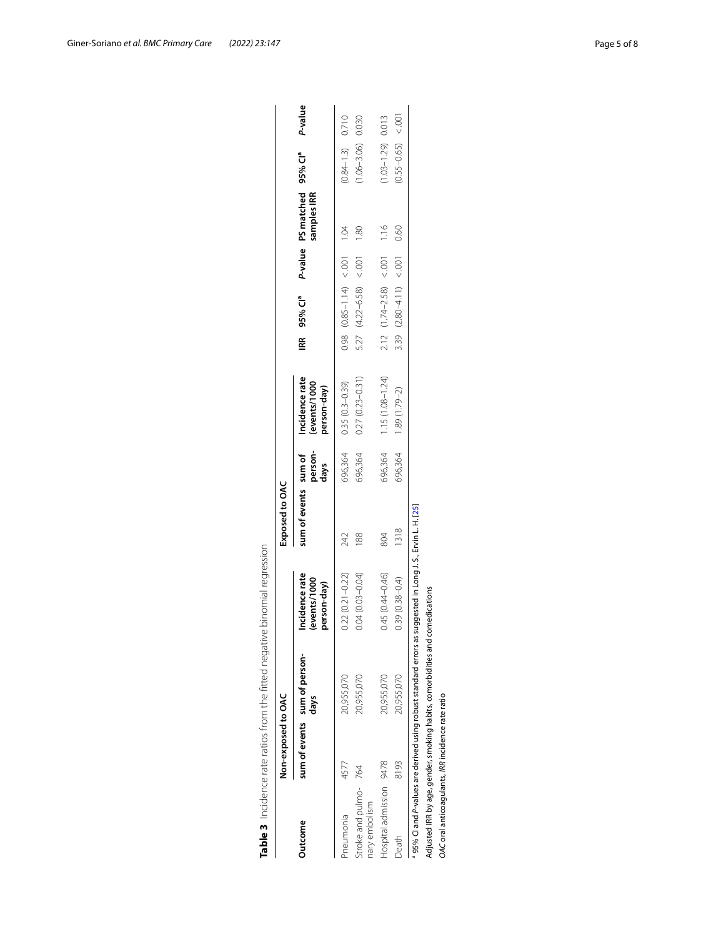|                                                   | Non-exposed to OAC | Table 3 Incidence rate ratios from the fitted negative binomial regression   |                                               | Exposed to OAC       |                 |                                               |                                                                |                |                       |         |
|---------------------------------------------------|--------------------|------------------------------------------------------------------------------|-----------------------------------------------|----------------------|-----------------|-----------------------------------------------|----------------------------------------------------------------|----------------|-----------------------|---------|
| Jutcome                                           |                    | sum of events sum of person-<br>days                                         | Incidence rate<br>(events/1000<br>person-day) | sum of events sum of | person-<br>days | Incidence rate<br>(events/1000<br>person-day) | IRR 95% Cl <sup>a</sup> P-value PS matched 95% Cl <sup>a</sup> | samples IRR    |                       | P-value |
| <sup>P</sup> neumonia                             | 4577               | 20,955,070                                                                   | $0.22(0.21 - 0.22)$                           | 242                  | 696,364         | $0.35(0.3 - 0.39)$                            | $0.98$ $(0.85-1.14)$ $(0.01$ $0.04$                            |                | $(0.84 - 1.3)$ 0.710  |         |
| Stroke and pulmo-<br>hary embolism                | 764                | 20,955,070                                                                   | $0.04(0.03 - 0.04)$                           | 188                  | 696,364         | $0.27(0.23 - 0.31)$                           | $5.27$ $(4.22-6.58) < 0.001$                                   | $\frac{80}{1}$ | 1.06-3.06) 0.030      |         |
| Hospital admission 9478                           |                    | 20,955,070                                                                   | $0.45(0.44 - 0.46)$                           | 804                  | 696,364         | $1.15(1.08 - 1.24)$                           | $2.12$ $(1.74-2.58) < 0.01$ 1.16                               |                | $(1.03 - 1.29)$ 0.013 |         |
| beath                                             | 8193               | 20,955,070                                                                   | $0.39(0.38 - 0.4)$                            | 1318                 | 696,364         | $1.89(1.79-2)$                                | 3.39 $(2.80-4.11) < 0.01$                                      | 0.60           | $(0.55 - 0.65)$       | 001     |
|                                                   |                    | 95% Cl and P-values are derived using robust standard errors as              | suggested in Long J.S., Ervin L. H. [25]      |                      |                 |                                               |                                                                |                |                       |         |
|                                                   |                    | Adjusted IRR by age, gender, smoking habits, comorbidities and comedications |                                               |                      |                 |                                               |                                                                |                |                       |         |
| OAC oral anticoagulants, IRR incidence rate ratio |                    |                                                                              |                                               |                      |                 |                                               |                                                                |                |                       |         |

<span id="page-4-0"></span>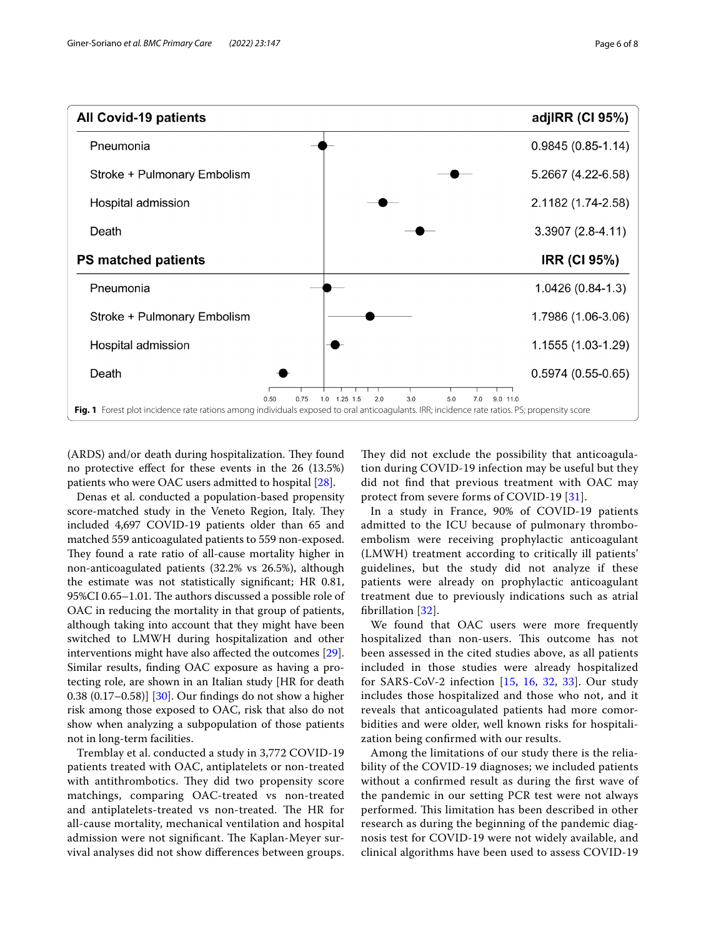

<span id="page-5-0"></span>(ARDS) and/or death during hospitalization. They found no protective efect for these events in the 26 (13.5%) patients who were OAC users admitted to hospital [\[28\]](#page-7-22).

Denas et al. conducted a population-based propensity score-matched study in the Veneto Region, Italy. They included 4,697 COVID-19 patients older than 65 and matched 559 anticoagulated patients to 559 non-exposed. They found a rate ratio of all-cause mortality higher in non-anticoagulated patients (32.2% vs 26.5%), although the estimate was not statistically signifcant; HR 0.81, 95%CI 0.65–1.01. The authors discussed a possible role of OAC in reducing the mortality in that group of patients, although taking into account that they might have been switched to LMWH during hospitalization and other interventions might have also afected the outcomes [\[29](#page-7-23)]. Similar results, fnding OAC exposure as having a protecting role, are shown in an Italian study [HR for death 0.38 (0.17–0.58)] [\[30](#page-7-24)]. Our fndings do not show a higher risk among those exposed to OAC, risk that also do not show when analyzing a subpopulation of those patients not in long-term facilities.

Tremblay et al. conducted a study in 3,772 COVID-19 patients treated with OAC, antiplatelets or non-treated with antithrombotics. They did two propensity score matchings, comparing OAC-treated vs non-treated and antiplatelets-treated vs non-treated. The HR for all-cause mortality, mechanical ventilation and hospital admission were not significant. The Kaplan-Meyer survival analyses did not show diferences between groups.

They did not exclude the possibility that anticoagulation during COVID-19 infection may be useful but they did not fnd that previous treatment with OAC may protect from severe forms of COVID-19 [[31\]](#page-7-25).

In a study in France, 90% of COVID-19 patients admitted to the ICU because of pulmonary thromboembolism were receiving prophylactic anticoagulant (LMWH) treatment according to critically ill patients' guidelines, but the study did not analyze if these patients were already on prophylactic anticoagulant treatment due to previously indications such as atrial fbrillation [[32](#page-7-26)].

We found that OAC users were more frequently hospitalized than non-users. This outcome has not been assessed in the cited studies above, as all patients included in those studies were already hospitalized for SARS-CoV-2 infection [[15](#page-7-10), [16,](#page-7-27) [32](#page-7-26), [33\]](#page-7-28). Our study includes those hospitalized and those who not, and it reveals that anticoagulated patients had more comorbidities and were older, well known risks for hospitalization being confrmed with our results.

Among the limitations of our study there is the reliability of the COVID-19 diagnoses; we included patients without a confrmed result as during the frst wave of the pandemic in our setting PCR test were not always performed. This limitation has been described in other research as during the beginning of the pandemic diagnosis test for COVID-19 were not widely available, and clinical algorithms have been used to assess COVID-19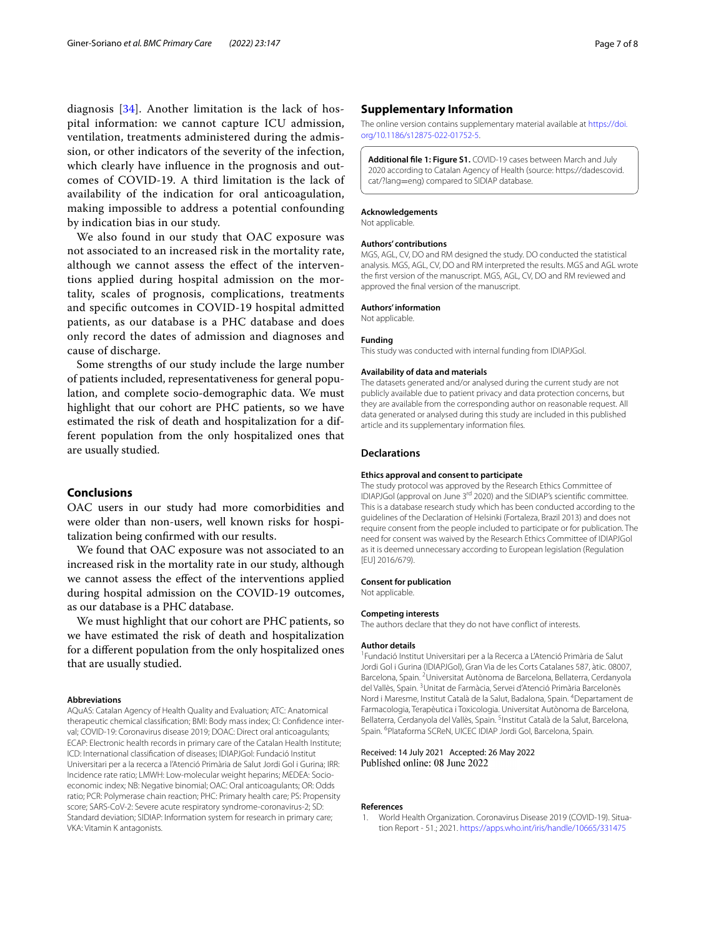diagnosis [[34\]](#page-7-29). Another limitation is the lack of hospital information: we cannot capture ICU admission, ventilation, treatments administered during the admission, or other indicators of the severity of the infection, which clearly have infuence in the prognosis and outcomes of COVID-19. A third limitation is the lack of availability of the indication for oral anticoagulation, making impossible to address a potential confounding by indication bias in our study.

We also found in our study that OAC exposure was not associated to an increased risk in the mortality rate, although we cannot assess the efect of the interventions applied during hospital admission on the mortality, scales of prognosis, complications, treatments and specifc outcomes in COVID-19 hospital admitted patients, as our database is a PHC database and does only record the dates of admission and diagnoses and cause of discharge.

Some strengths of our study include the large number of patients included, representativeness for general population, and complete socio-demographic data. We must highlight that our cohort are PHC patients, so we have estimated the risk of death and hospitalization for a different population from the only hospitalized ones that are usually studied.

## **Conclusions**

OAC users in our study had more comorbidities and were older than non-users, well known risks for hospitalization being confrmed with our results.

We found that OAC exposure was not associated to an increased risk in the mortality rate in our study, although we cannot assess the efect of the interventions applied during hospital admission on the COVID-19 outcomes, as our database is a PHC database.

We must highlight that our cohort are PHC patients, so we have estimated the risk of death and hospitalization for a diferent population from the only hospitalized ones that are usually studied.

#### **Abbreviations**

AQuAS: Catalan Agency of Health Quality and Evaluation; ATC: Anatomical therapeutic chemical classification; BMI: Body mass index; CI: Confidence interval; COVID-19: Coronavirus disease 2019; DOAC: Direct oral anticoagulants; ECAP: Electronic health records in primary care of the Catalan Health Institute; ICD: International classifcation of diseases; IDIAPJGol: Fundació Institut Universitari per a la recerca a l'Atenció Primària de Salut Jordi Gol i Gurina; IRR: Incidence rate ratio; LMWH: Low-molecular weight heparins; MEDEA: Socioeconomic index; NB: Negative binomial; OAC: Oral anticoagulants; OR: Odds ratio; PCR: Polymerase chain reaction; PHC: Primary health care; PS: Propensity score; SARS-CoV-2: Severe acute respiratory syndrome-coronavirus-2; SD: Standard deviation; SIDIAP: Information system for research in primary care; VKA: Vitamin K antagonists.

## **Supplementary Information**

The online version contains supplementary material available at [https://doi.](https://doi.org/10.1186/s12875-022-01752-5) [org/10.1186/s12875-022-01752-5](https://doi.org/10.1186/s12875-022-01752-5).

<span id="page-6-1"></span>**Additional fle 1: Figure S1.** COVID-19 cases between March and July 2020 according to Catalan Agency of Health (source: https://dadescovid. cat/?lang=eng) compared to SIDIAP database.

#### **Acknowledgements**

Not applicable.

## **Authors' contributions**

MGS, AGL, CV, DO and RM designed the study. DO conducted the statistical analysis. MGS, AGL, CV, DO and RM interpreted the results. MGS and AGL wrote the frst version of the manuscript. MGS, AGL, CV, DO and RM reviewed and approved the fnal version of the manuscript.

### **Authors' information**

Not applicable.

### **Funding**

This study was conducted with internal funding from IDIAPJGol.

#### **Availability of data and materials**

The datasets generated and/or analysed during the current study are not publicly available due to patient privacy and data protection concerns, but they are available from the corresponding author on reasonable request. All data generated or analysed during this study are included in this published article and its supplementary information fles.

### **Declarations**

#### **Ethics approval and consent to participate**

The study protocol was approved by the Research Ethics Committee of IDIAPJGol (approval on June 3rd 2020) and the SIDIAP's scientifc committee. This is a database research study which has been conducted according to the guidelines of the Declaration of Helsinki (Fortaleza, Brazil 2013) and does not require consent from the people included to participate or for publication. The need for consent was waived by the Research Ethics Committee of IDIAPJGol as it is deemed unnecessary according to European legislation (Regulation [EU] 2016/679).

### **Consent for publication**

Not applicable.

#### **Competing interests**

The authors declare that they do not have confict of interests.

#### **Author details**

<sup>1</sup> Fundació Institut Universitari per a la Recerca a L'Atenció Primària de Salut Jordi Gol i Gurina (IDIAPJGol), Gran Via de les Corts Catalanes 587, àtic. 08007, Barcelona, Spain. <sup>2</sup> Universitat Autònoma de Barcelona, Bellaterra, Cerdanyola del Vallès, Spain. <sup>3</sup>Unitat de Farmàcia, Servei d'Atenció Primària Barcelonès Nord i Maresme, Institut Català de la Salut, Badalona, Spain. 4 Departament de Farmacologia, Terapèutica i Toxicologia. Universitat Autònoma de Barcelona, Bellaterra, Cerdanyola del Vallès, Spain. <sup>5</sup>Institut Català de la Salut, Barcelona, Spain. <sup>6</sup>Plataforma SCReN, UICEC IDIAP Jordi Gol, Barcelona, Spain.

## Received: 14 July 2021 Accepted: 26 May 2022 Published online: 08 June 2022

#### **References**

<span id="page-6-0"></span>World Health Organization. Coronavirus Disease 2019 (COVID-19). Situation Report - 51.; 2021.<https://apps.who.int/iris/handle/10665/331475>